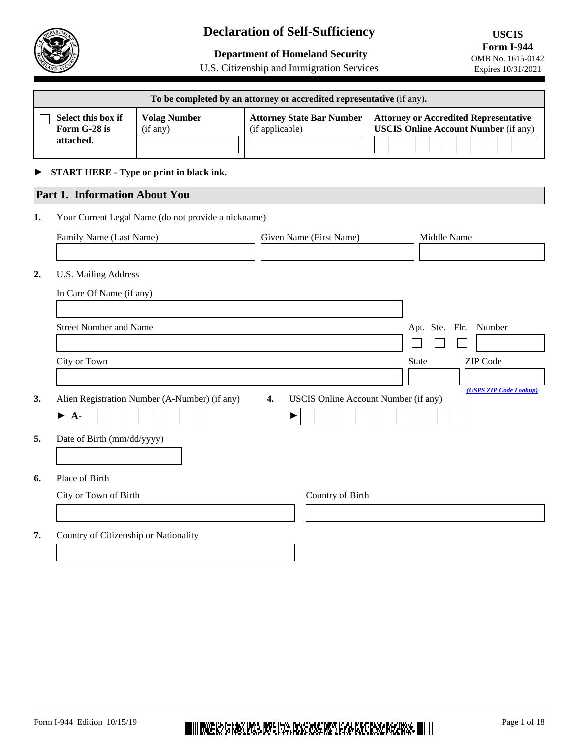

# **Declaration of Self-Sufficiency**

# **Department of Homeland Security**

U.S. Citizenship and Immigration Services

|    | To be completed by an attorney or accredited representative (if any). |                                                     |                                                                 |                                                                                             |  |  |
|----|-----------------------------------------------------------------------|-----------------------------------------------------|-----------------------------------------------------------------|---------------------------------------------------------------------------------------------|--|--|
|    | Select this box if<br>Form G-28 is<br>attached.                       | <b>Volag Number</b><br>(if any)                     | <b>Attorney State Bar Number</b><br>(if applicable)             | <b>Attorney or Accredited Representative</b><br><b>USCIS Online Account Number (if any)</b> |  |  |
|    |                                                                       | START HERE - Type or print in black ink.            |                                                                 |                                                                                             |  |  |
|    | Part 1. Information About You                                         |                                                     |                                                                 |                                                                                             |  |  |
| 1. |                                                                       | Your Current Legal Name (do not provide a nickname) |                                                                 |                                                                                             |  |  |
|    | Family Name (Last Name)                                               |                                                     | Given Name (First Name)                                         | Middle Name                                                                                 |  |  |
| 2. | U.S. Mailing Address<br>In Care Of Name (if any)                      |                                                     |                                                                 |                                                                                             |  |  |
|    | <b>Street Number and Name</b>                                         |                                                     |                                                                 | Apt. Ste. Flr.<br>Number                                                                    |  |  |
|    | City or Town                                                          |                                                     |                                                                 | <b>ZIP</b> Code<br><b>State</b><br>$\overline{\phantom{a}}$                                 |  |  |
| 3. | $\blacktriangleright$ A-                                              | Alien Registration Number (A-Number) (if any)       | $\boldsymbol{4}$ .<br>USCIS Online Account Number (if any)<br>▶ | (USPS ZIP Code Lookup)                                                                      |  |  |
| 5. | Date of Birth (mm/dd/yyyy)                                            |                                                     |                                                                 |                                                                                             |  |  |
| 6. | Place of Birth                                                        |                                                     |                                                                 |                                                                                             |  |  |
|    | City or Town of Birth                                                 |                                                     | Country of Birth                                                |                                                                                             |  |  |
| 7. | Country of Citizenship or Nationality                                 |                                                     |                                                                 |                                                                                             |  |  |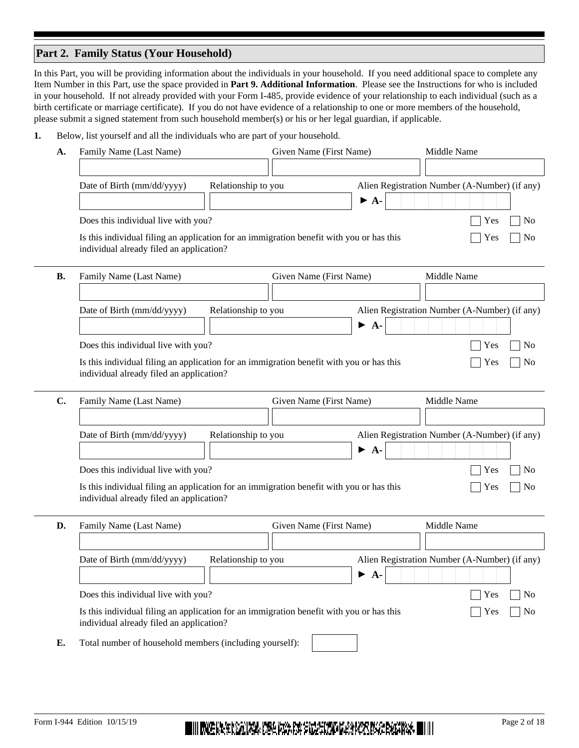#### **Part 2. Family Status (Your Household)**

In this Part, you will be providing information about the individuals in your household. If you need additional space to complete any Item Number in this Part, use the space provided in **Part 9. Additional Information**. Please see the Instructions for who is included in your household. If not already provided with your Form I-485, provide evidence of your relationship to each individual (such as a birth certificate or marriage certificate). If you do not have evidence of a relationship to one or more members of the household, please submit a signed statement from such household member(s) or his or her legal guardian, if applicable.

**1.** Below, list yourself and all the individuals who are part of your household.

| А.        | Family Name (Last Name)                                 | Given Name (First Name)                                                                  | Middle Name                                   |
|-----------|---------------------------------------------------------|------------------------------------------------------------------------------------------|-----------------------------------------------|
|           | Date of Birth (mm/dd/yyyy)                              | Relationship to you<br>$\blacktriangleright$ A-                                          | Alien Registration Number (A-Number) (if any) |
|           | Does this individual live with you?                     |                                                                                          | Yes<br>No                                     |
|           | individual already filed an application?                | Is this individual filing an application for an immigration benefit with you or has this | Yes<br>No                                     |
| <b>B.</b> | Family Name (Last Name)                                 | Given Name (First Name)                                                                  | Middle Name                                   |
|           | Date of Birth (mm/dd/yyyy)                              | Relationship to you<br>$A-$                                                              | Alien Registration Number (A-Number) (if any) |
|           | Does this individual live with you?                     |                                                                                          | Yes<br>No                                     |
|           | individual already filed an application?                | Is this individual filing an application for an immigration benefit with you or has this | Yes<br>No                                     |
| C.        | Family Name (Last Name)                                 | Given Name (First Name)                                                                  | Middle Name                                   |
|           | Date of Birth (mm/dd/yyyy)                              | Relationship to you<br>$A-$                                                              | Alien Registration Number (A-Number) (if any) |
|           | Does this individual live with you?                     |                                                                                          | Yes<br>N <sub>0</sub>                         |
|           | individual already filed an application?                | Is this individual filing an application for an immigration benefit with you or has this | Yes<br>N <sub>0</sub>                         |
| D.        | Family Name (Last Name)                                 | Given Name (First Name)                                                                  | Middle Name                                   |
|           | Date of Birth (mm/dd/yyyy)                              | Relationship to you<br>$A-$                                                              | Alien Registration Number (A-Number) (if any) |
|           | Does this individual live with you?                     |                                                                                          | Yes<br>No                                     |
|           | individual already filed an application?                | Is this individual filing an application for an immigration benefit with you or has this | Yes<br>No                                     |
| Е.        | Total number of household members (including yourself): |                                                                                          |                                               |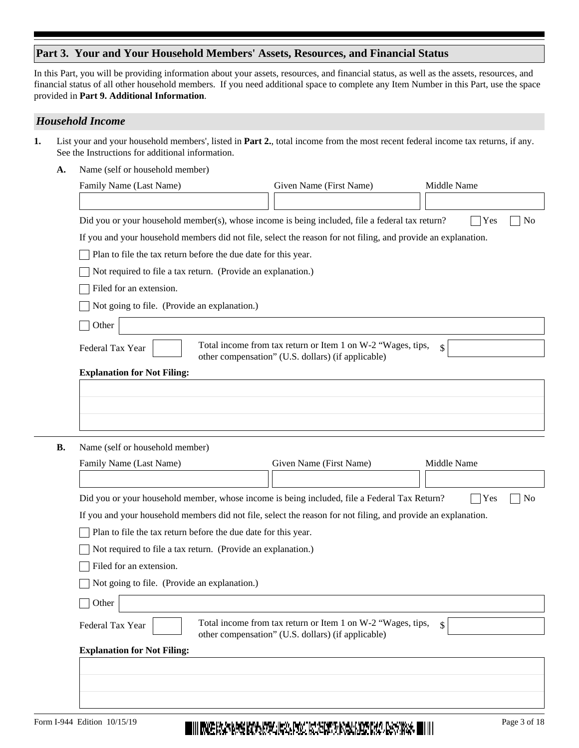In this Part, you will be providing information about your assets, resources, and financial status, as well as the assets, resources, and financial status of all other household members. If you need additional space to complete any Item Number in this Part, use the space provided in **Part 9. Additional Information**.

#### *Household Income*

- **1.** List your and your household members', listed in **Part 2.**, total income from the most recent federal income tax returns, if any. See the Instructions for additional information.
	- **A.** Name (self or household member)

| Family Name (Last Name)                                                                                       | Given Name (First Name)                                                                                           | Middle Name           |  |  |  |  |
|---------------------------------------------------------------------------------------------------------------|-------------------------------------------------------------------------------------------------------------------|-----------------------|--|--|--|--|
|                                                                                                               |                                                                                                                   |                       |  |  |  |  |
| Did you or your household member(s), whose income is being included, file a federal tax return?               |                                                                                                                   | Yes<br>No             |  |  |  |  |
| If you and your household members did not file, select the reason for not filing, and provide an explanation. |                                                                                                                   |                       |  |  |  |  |
| Plan to file the tax return before the due date for this year.                                                |                                                                                                                   |                       |  |  |  |  |
| Not required to file a tax return. (Provide an explanation.)                                                  |                                                                                                                   |                       |  |  |  |  |
| Filed for an extension.                                                                                       |                                                                                                                   |                       |  |  |  |  |
| Not going to file. (Provide an explanation.)                                                                  |                                                                                                                   |                       |  |  |  |  |
| Other                                                                                                         |                                                                                                                   |                       |  |  |  |  |
| Federal Tax Year                                                                                              | Total income from tax return or Item 1 on W-2 "Wages, tips,<br>other compensation" (U.S. dollars) (if applicable) | \$                    |  |  |  |  |
| <b>Explanation for Not Filing:</b>                                                                            |                                                                                                                   |                       |  |  |  |  |
|                                                                                                               |                                                                                                                   |                       |  |  |  |  |
|                                                                                                               |                                                                                                                   |                       |  |  |  |  |
|                                                                                                               |                                                                                                                   |                       |  |  |  |  |
| Name (self or household member)                                                                               |                                                                                                                   |                       |  |  |  |  |
| Family Name (Last Name)                                                                                       | Given Name (First Name)                                                                                           | Middle Name           |  |  |  |  |
|                                                                                                               |                                                                                                                   |                       |  |  |  |  |
| Did you or your household member, whose income is being included, file a Federal Tax Return?                  |                                                                                                                   | N <sub>o</sub><br>Yes |  |  |  |  |
| If you and your household members did not file, select the reason for not filing, and provide an explanation. |                                                                                                                   |                       |  |  |  |  |
| Plan to file the tax return before the due date for this year.                                                |                                                                                                                   |                       |  |  |  |  |
| Not required to file a tax return. (Provide an explanation.)                                                  |                                                                                                                   |                       |  |  |  |  |
| Filed for an extension.                                                                                       |                                                                                                                   |                       |  |  |  |  |
| Not going to file. (Provide an explanation.)                                                                  |                                                                                                                   |                       |  |  |  |  |
| Other                                                                                                         |                                                                                                                   |                       |  |  |  |  |
| Federal Tax Year                                                                                              | Total income from tax return or Item 1 on W-2 "Wages, tips,<br>other compensation" (U.S. dollars) (if applicable) | \$                    |  |  |  |  |
| <b>Explanation for Not Filing:</b>                                                                            |                                                                                                                   |                       |  |  |  |  |

**B.**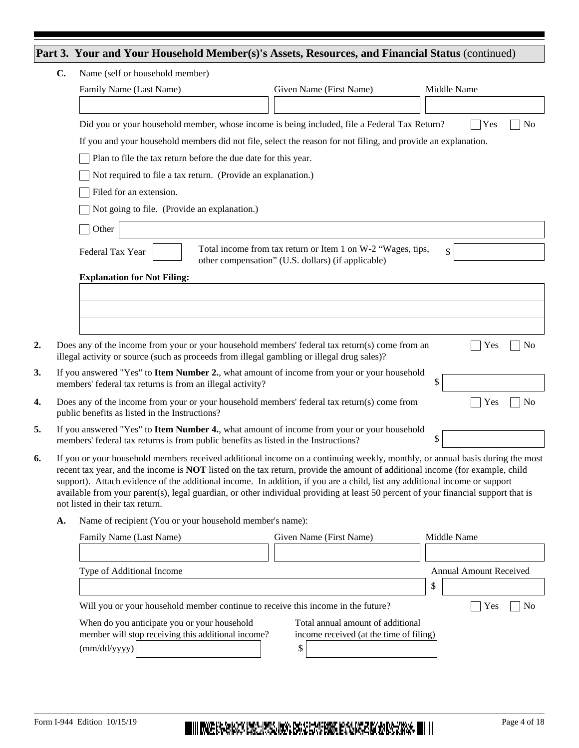|    | C. | Name (self or household member)                                                                                                                                                                                                                                     |                                                                                                                   |             |                               |                |  |  |  |
|----|----|---------------------------------------------------------------------------------------------------------------------------------------------------------------------------------------------------------------------------------------------------------------------|-------------------------------------------------------------------------------------------------------------------|-------------|-------------------------------|----------------|--|--|--|
|    |    | Family Name (Last Name)                                                                                                                                                                                                                                             | Given Name (First Name)                                                                                           | Middle Name |                               |                |  |  |  |
|    |    |                                                                                                                                                                                                                                                                     |                                                                                                                   |             |                               |                |  |  |  |
|    |    | Did you or your household member, whose income is being included, file a Federal Tax Return?                                                                                                                                                                        |                                                                                                                   |             | Yes                           | N <sub>o</sub> |  |  |  |
|    |    | If you and your household members did not file, select the reason for not filing, and provide an explanation.                                                                                                                                                       |                                                                                                                   |             |                               |                |  |  |  |
|    |    | Plan to file the tax return before the due date for this year.                                                                                                                                                                                                      |                                                                                                                   |             |                               |                |  |  |  |
|    |    | Not required to file a tax return. (Provide an explanation.)                                                                                                                                                                                                        |                                                                                                                   |             |                               |                |  |  |  |
|    |    | Filed for an extension.                                                                                                                                                                                                                                             |                                                                                                                   |             |                               |                |  |  |  |
|    |    | Not going to file. (Provide an explanation.)                                                                                                                                                                                                                        |                                                                                                                   |             |                               |                |  |  |  |
|    |    | Other                                                                                                                                                                                                                                                               |                                                                                                                   |             |                               |                |  |  |  |
|    |    | Federal Tax Year                                                                                                                                                                                                                                                    | Total income from tax return or Item 1 on W-2 "Wages, tips,<br>other compensation" (U.S. dollars) (if applicable) | \$          |                               |                |  |  |  |
|    |    | <b>Explanation for Not Filing:</b>                                                                                                                                                                                                                                  |                                                                                                                   |             |                               |                |  |  |  |
|    |    |                                                                                                                                                                                                                                                                     |                                                                                                                   |             |                               |                |  |  |  |
|    |    |                                                                                                                                                                                                                                                                     |                                                                                                                   |             |                               |                |  |  |  |
|    |    |                                                                                                                                                                                                                                                                     |                                                                                                                   |             |                               |                |  |  |  |
| 2. |    | Does any of the income from your or your household members' federal tax return(s) come from an                                                                                                                                                                      |                                                                                                                   |             | Yes                           | No             |  |  |  |
|    |    | illegal activity or source (such as proceeds from illegal gambling or illegal drug sales)?                                                                                                                                                                          |                                                                                                                   |             |                               |                |  |  |  |
| 3. |    | If you answered "Yes" to Item Number 2., what amount of income from your or your household<br>members' federal tax returns is from an illegal activity?                                                                                                             |                                                                                                                   | \$          |                               |                |  |  |  |
| 4. |    | Does any of the income from your or your household members' federal tax return(s) come from                                                                                                                                                                         |                                                                                                                   |             | Yes                           | No             |  |  |  |
|    |    | public benefits as listed in the Instructions?                                                                                                                                                                                                                      |                                                                                                                   |             |                               |                |  |  |  |
| 5. |    | If you answered "Yes" to Item Number 4., what amount of income from your or your household                                                                                                                                                                          |                                                                                                                   | \$          |                               |                |  |  |  |
|    |    | members' federal tax returns is from public benefits as listed in the Instructions?                                                                                                                                                                                 |                                                                                                                   |             |                               |                |  |  |  |
| 6. |    | If you or your household members received additional income on a continuing weekly, monthly, or annual basis during the most<br>recent tax year, and the income is <b>NOT</b> listed on the tax return, provide the amount of additional income (for example, child |                                                                                                                   |             |                               |                |  |  |  |
|    |    | support). Attach evidence of the additional income. In addition, if you are a child, list any additional income or support                                                                                                                                          |                                                                                                                   |             |                               |                |  |  |  |
|    |    | available from your parent(s), legal guardian, or other individual providing at least 50 percent of your financial support that is<br>not listed in their tax return.                                                                                               |                                                                                                                   |             |                               |                |  |  |  |
|    | A. | Name of recipient (You or your household member's name):                                                                                                                                                                                                            |                                                                                                                   |             |                               |                |  |  |  |
|    |    | Family Name (Last Name)                                                                                                                                                                                                                                             | Given Name (First Name)                                                                                           | Middle Name |                               |                |  |  |  |
|    |    |                                                                                                                                                                                                                                                                     |                                                                                                                   |             |                               |                |  |  |  |
|    |    | Type of Additional Income                                                                                                                                                                                                                                           |                                                                                                                   |             | <b>Annual Amount Received</b> |                |  |  |  |
|    |    |                                                                                                                                                                                                                                                                     |                                                                                                                   | \$          |                               |                |  |  |  |
|    |    | Will you or your household member continue to receive this income in the future?                                                                                                                                                                                    |                                                                                                                   |             | Yes                           | N <sub>o</sub> |  |  |  |
|    |    | When do you anticipate you or your household                                                                                                                                                                                                                        | Total annual amount of additional                                                                                 |             |                               |                |  |  |  |
|    |    | member will stop receiving this additional income?                                                                                                                                                                                                                  | income received (at the time of filing)                                                                           |             |                               |                |  |  |  |
|    |    | (mm/dd/yyyy)                                                                                                                                                                                                                                                        | \$                                                                                                                |             |                               |                |  |  |  |

**2.**

**3.**

**5.**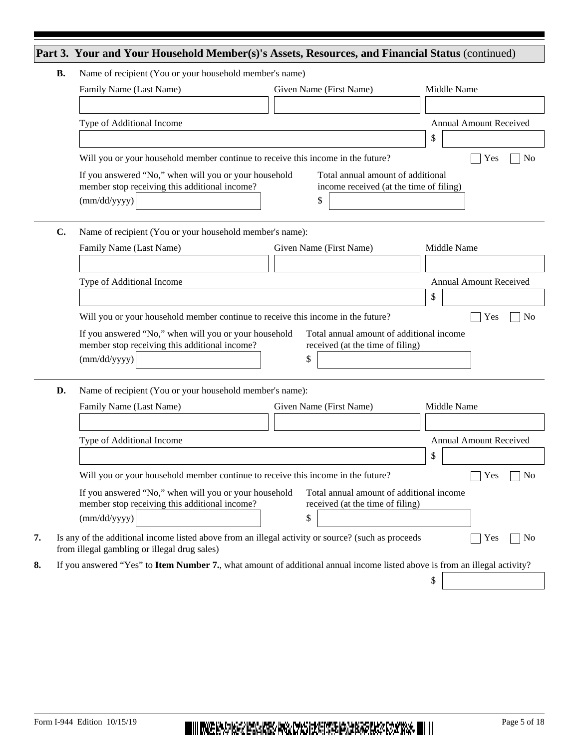|    | <b>B.</b> | Name of recipient (You or your household member's name)                                                                                            |                                                                                    |                               |
|----|-----------|----------------------------------------------------------------------------------------------------------------------------------------------------|------------------------------------------------------------------------------------|-------------------------------|
|    |           | Family Name (Last Name)                                                                                                                            | Given Name (First Name)                                                            | Middle Name                   |
|    |           |                                                                                                                                                    |                                                                                    |                               |
|    |           | Type of Additional Income                                                                                                                          |                                                                                    | <b>Annual Amount Received</b> |
|    |           |                                                                                                                                                    |                                                                                    | \$                            |
|    |           | Will you or your household member continue to receive this income in the future?                                                                   |                                                                                    | Yes<br>No                     |
|    |           | If you answered "No," when will you or your household<br>member stop receiving this additional income?<br>(mm/dd/yyyy)                             | Total annual amount of additional<br>income received (at the time of filing)<br>\$ |                               |
|    | C.        | Name of recipient (You or your household member's name):                                                                                           |                                                                                    |                               |
|    |           | Family Name (Last Name)                                                                                                                            | Given Name (First Name)                                                            | Middle Name                   |
|    |           |                                                                                                                                                    |                                                                                    |                               |
|    |           | Type of Additional Income                                                                                                                          |                                                                                    | <b>Annual Amount Received</b> |
|    |           |                                                                                                                                                    |                                                                                    | \$                            |
|    |           | Will you or your household member continue to receive this income in the future?                                                                   |                                                                                    | Yes<br>No                     |
|    |           | If you answered "No," when will you or your household<br>member stop receiving this additional income?<br>(mm/dd/yyyy)                             | Total annual amount of additional income<br>received (at the time of filing)<br>\$ |                               |
|    | D.        | Name of recipient (You or your household member's name):                                                                                           |                                                                                    |                               |
|    |           | Family Name (Last Name)                                                                                                                            | Given Name (First Name)                                                            | Middle Name                   |
|    |           |                                                                                                                                                    |                                                                                    |                               |
|    |           | Type of Additional Income                                                                                                                          |                                                                                    | <b>Annual Amount Received</b> |
|    |           |                                                                                                                                                    |                                                                                    | \$                            |
|    |           | Will you or your household member continue to receive this income in the future?                                                                   |                                                                                    | No<br>Yes                     |
|    |           | If you answered "No," when will you or your household                                                                                              | Total annual amount of additional income                                           |                               |
|    |           | member stop receiving this additional income?                                                                                                      | received (at the time of filing)                                                   |                               |
|    |           | (mm/dd/yyyy)                                                                                                                                       | \$                                                                                 |                               |
| 7. |           | Is any of the additional income listed above from an illegal activity or source? (such as proceeds<br>from illegal gambling or illegal drug sales) |                                                                                    | Yes<br>N <sub>o</sub>         |
| 8. |           | If you answered "Yes" to Item Number 7., what amount of additional annual income listed above is from an illegal activity?                         |                                                                                    |                               |
|    |           |                                                                                                                                                    |                                                                                    | \$                            |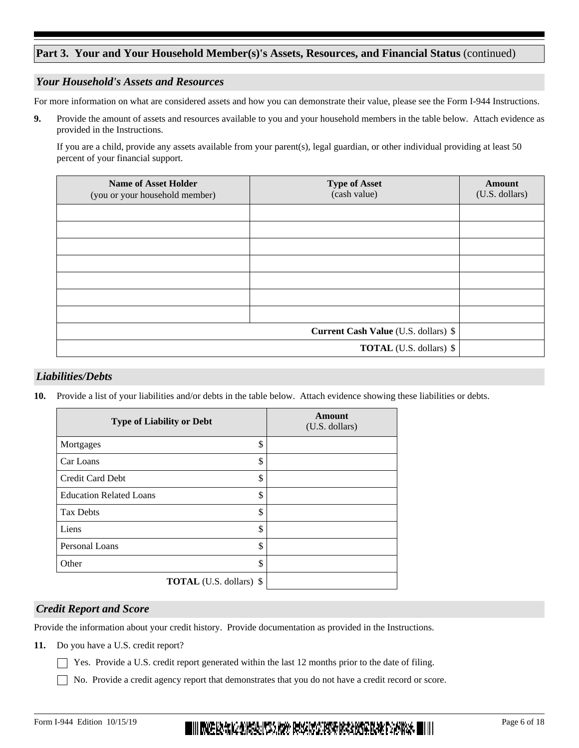#### *Your Household's Assets and Resources*

For more information on what are considered assets and how you can demonstrate their value, please see the Form I-944 Instructions.

Provide the amount of assets and resources available to you and your household members in the table below. Attach evidence as provided in the Instructions. **9.**

If you are a child, provide any assets available from your parent(s), legal guardian, or other individual providing at least 50 percent of your financial support.

| <b>Name of Asset Holder</b><br>(you or your household member) | <b>Type of Asset</b><br>(cash value) | <b>Amount</b><br>(U.S. dollars) |
|---------------------------------------------------------------|--------------------------------------|---------------------------------|
|                                                               |                                      |                                 |
|                                                               |                                      |                                 |
|                                                               |                                      |                                 |
|                                                               |                                      |                                 |
|                                                               | $\overline{\phantom{0}}$             |                                 |
|                                                               | $\blacksquare$                       |                                 |
|                                                               |                                      |                                 |
|                                                               | Current Cash Value (U.S. dollars) \$ |                                 |
|                                                               | <b>TOTAL</b> (U.S. dollars) \$       |                                 |

#### *Liabilities/Debts*

**10.** Provide a list of your liabilities and/or debts in the table below. Attach evidence showing these liabilities or debts.

| <b>Type of Liability or Debt</b> | <b>Amount</b><br>(U.S. dollars) |
|----------------------------------|---------------------------------|
| Mortgages                        | \$                              |
| Car Loans                        | \$                              |
| <b>Credit Card Debt</b>          | \$                              |
| <b>Education Related Loans</b>   | \$                              |
| <b>Tax Debts</b>                 | \$                              |
| Liens                            | \$                              |
| Personal Loans                   | \$                              |
| Other                            | \$                              |
| <b>TOTAL</b> (U.S. dollars) \$   |                                 |

#### *Credit Report and Score*

Provide the information about your credit history. Provide documentation as provided in the Instructions.

**11.** Do you have a U.S. credit report?

Yes. Provide a U.S. credit report generated within the last 12 months prior to the date of filing.

No. Provide a credit agency report that demonstrates that you do not have a credit record or score.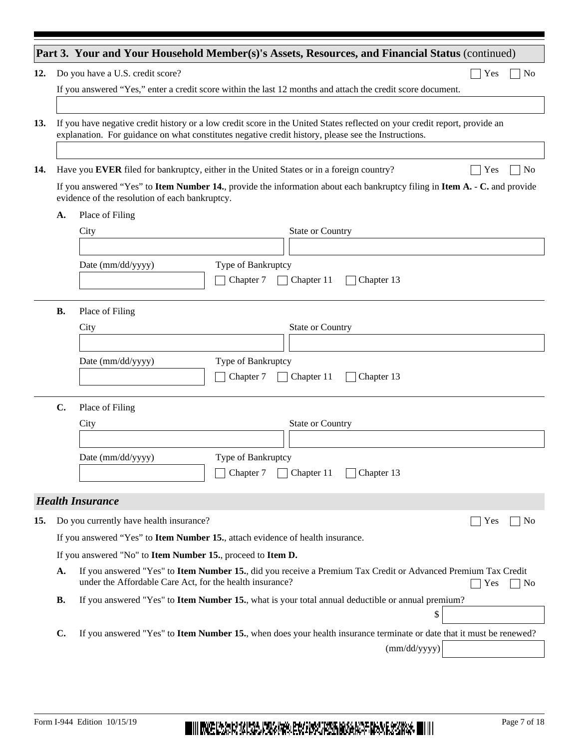# If you answered "Yes," enter a credit score within the last 12 months and attach the credit score document. **12.** Do you have a U.S. credit score?  $\Box$  Yes  $\Box$  No If you have negative credit history or a low credit score in the United States reflected on your credit report, provide an explanation. For guidance on what constitutes negative credit history, please see the Instructions. **13. 14.** Have you **EVER** filed for bankruptcy, either in the United States or in a foreign country?  $\Box$  Yes  $\Box$  No Part 3. Your and Your Household Member(s)'s Assets, Resources, and Financial Status (continued)

If you answered "Yes" to **Item Number 14.**, provide the information about each bankruptcy filing in **Item A.** - **C.** and provide evidence of the resolution of each bankruptcy.

|     | А.            | Place of Filing                                                                                                                                                                                    |                                                                                                                      |  |  |  |
|-----|---------------|----------------------------------------------------------------------------------------------------------------------------------------------------------------------------------------------------|----------------------------------------------------------------------------------------------------------------------|--|--|--|
|     |               | City                                                                                                                                                                                               | <b>State or Country</b>                                                                                              |  |  |  |
|     |               |                                                                                                                                                                                                    |                                                                                                                      |  |  |  |
|     |               | Date (mm/dd/yyyy)                                                                                                                                                                                  | Type of Bankruptcy                                                                                                   |  |  |  |
|     |               |                                                                                                                                                                                                    | Chapter 7<br>Chapter 13<br>Chapter 11                                                                                |  |  |  |
|     | <b>B.</b>     | Place of Filing                                                                                                                                                                                    |                                                                                                                      |  |  |  |
|     |               | City                                                                                                                                                                                               | <b>State or Country</b>                                                                                              |  |  |  |
|     |               |                                                                                                                                                                                                    |                                                                                                                      |  |  |  |
|     |               | Date (mm/dd/yyyy)                                                                                                                                                                                  | Type of Bankruptcy                                                                                                   |  |  |  |
|     |               |                                                                                                                                                                                                    | Chapter 7<br>Chapter 11<br>Chapter 13                                                                                |  |  |  |
|     | C.            | Place of Filing                                                                                                                                                                                    |                                                                                                                      |  |  |  |
|     |               | City                                                                                                                                                                                               | <b>State or Country</b>                                                                                              |  |  |  |
|     |               |                                                                                                                                                                                                    |                                                                                                                      |  |  |  |
|     |               | Date (mm/dd/yyyy)                                                                                                                                                                                  | Type of Bankruptcy                                                                                                   |  |  |  |
|     |               |                                                                                                                                                                                                    | Chapter 7<br>Chapter 11<br>Chapter 13                                                                                |  |  |  |
|     |               | <b>Health Insurance</b>                                                                                                                                                                            |                                                                                                                      |  |  |  |
| 15. |               | Do you currently have health insurance?                                                                                                                                                            | N <sub>0</sub><br>Yes                                                                                                |  |  |  |
|     |               |                                                                                                                                                                                                    | If you answered "Yes" to Item Number 15., attach evidence of health insurance.                                       |  |  |  |
|     |               | If you answered "No" to Item Number 15., proceed to Item D.                                                                                                                                        |                                                                                                                      |  |  |  |
|     | <b>A.</b>     | If you answered "Yes" to Item Number 15., did you receive a Premium Tax Credit or Advanced Premium Tax Credit<br>under the Affordable Care Act, for the health insurance?<br>Yes<br>N <sub>o</sub> |                                                                                                                      |  |  |  |
|     | <b>B.</b>     |                                                                                                                                                                                                    | If you answered "Yes" to Item Number 15., what is your total annual deductible or annual premium?                    |  |  |  |
|     |               |                                                                                                                                                                                                    | \$                                                                                                                   |  |  |  |
|     | $C_{\bullet}$ |                                                                                                                                                                                                    | If you answered "Yes" to Item Number 15., when does your health insurance terminate or date that it must be renewed? |  |  |  |
|     |               | (mm/dd/yyyy)                                                                                                                                                                                       |                                                                                                                      |  |  |  |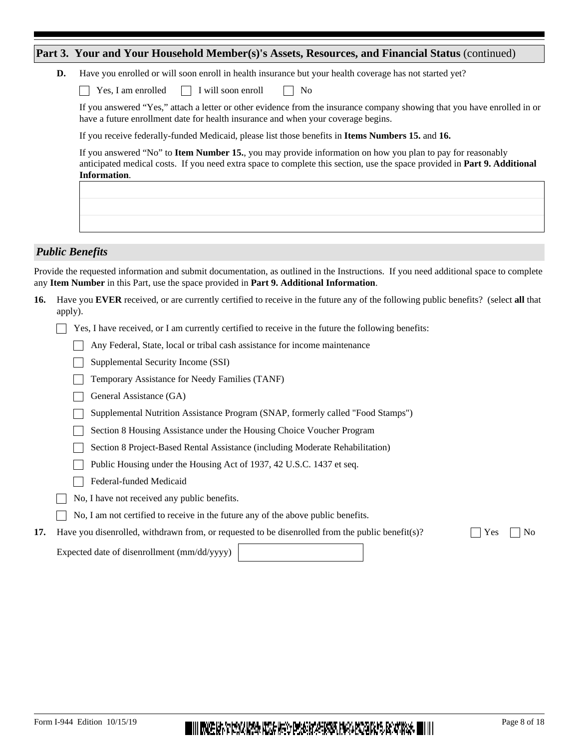**D.** Have you enrolled or will soon enroll in health insurance but your health coverage has not started yet?

 $\Box$  Yes, I am enrolled  $\Box$  I will soon enroll  $\Box$  No

If you answered "Yes," attach a letter or other evidence from the insurance company showing that you have enrolled in or have a future enrollment date for health insurance and when your coverage begins.

If you receive federally-funded Medicaid, please list those benefits in **Items Numbers 15.** and **16.**

If you answered "No" to **Item Number 15.**, you may provide information on how you plan to pay for reasonably anticipated medical costs. If you need extra space to complete this section, use the space provided in **Part 9. Additional Information**.

#### *Public Benefits*

Provide the requested information and submit documentation, as outlined in the Instructions. If you need additional space to complete any **Item Number** in this Part, use the space provided in **Part 9. Additional Information**.

#### Have you **EVER** received, or are currently certified to receive in the future any of the following public benefits? (select **all** that apply). **16.**

 $\parallel \cdot \parallel$  Yes, I have received, or I am currently certified to receive in the future the following benefits:

- Any Federal, State, local or tribal cash assistance for income maintenance
- Supplemental Security Income (SSI)
- Temporary Assistance for Needy Families (TANF)
- General Assistance (GA)
- Supplemental Nutrition Assistance Program (SNAP, formerly called "Food Stamps")
- Section 8 Housing Assistance under the Housing Choice Voucher Program
- Section 8 Project-Based Rental Assistance (including Moderate Rehabilitation)
- Public Housing under the Housing Act of 1937, 42 U.S.C. 1437 et seq.
- Federal-funded Medicaid
- No, I have not received any public benefits.
- $\Box$  No, I am not certified to receive in the future any of the above public benefits.
- 17. Have you disenrolled, withdrawn from, or requested to be disenrolled from the public benefit(s)?

Expected date of disenrollment (mm/dd/yyyy)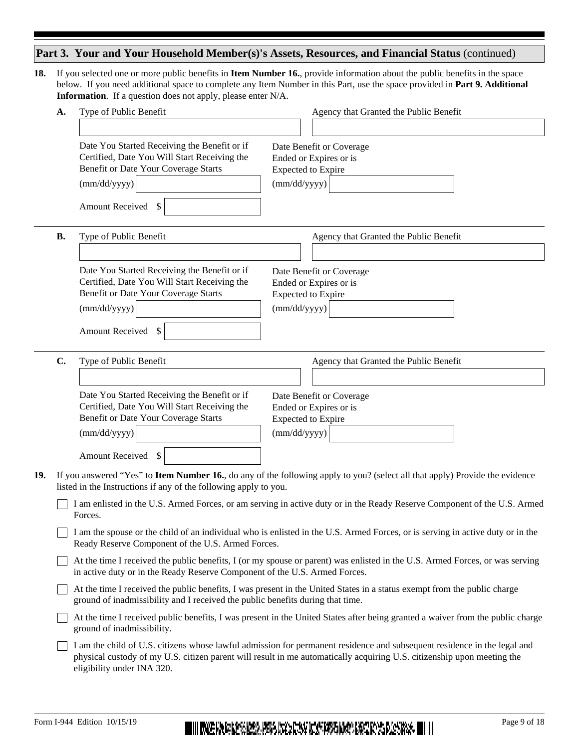**18.** If you selected one or more public benefits in **Item Number 16.**, provide information about the public benefits in the space below. If you need additional space to complete any Item Number in this Part, use the space provided in **Part 9. Additional Information**. If a question does not apply, please enter N/A.

|     | A. | Type of Public Benefit                                                                                                                                                     | Agency that Granted the Public Benefit                                                                                                                                                                                                             |
|-----|----|----------------------------------------------------------------------------------------------------------------------------------------------------------------------------|----------------------------------------------------------------------------------------------------------------------------------------------------------------------------------------------------------------------------------------------------|
|     |    |                                                                                                                                                                            |                                                                                                                                                                                                                                                    |
|     |    | Date You Started Receiving the Benefit or if<br>Certified, Date You Will Start Receiving the<br>Benefit or Date Your Coverage Starts<br>(mm/dd/yyyy)<br>Amount Received \$ | Date Benefit or Coverage<br>Ended or Expires or is<br><b>Expected</b> to Expire<br>(mm/dd/yyyy)                                                                                                                                                    |
|     | В. | Type of Public Benefit                                                                                                                                                     | Agency that Granted the Public Benefit                                                                                                                                                                                                             |
|     |    | Date You Started Receiving the Benefit or if<br>Certified, Date You Will Start Receiving the<br>Benefit or Date Your Coverage Starts<br>(mm/dd/yyyy)<br>Amount Received \$ | Date Benefit or Coverage<br>Ended or Expires or is<br><b>Expected</b> to Expire<br>(mm/dd/yyyy)                                                                                                                                                    |
|     | C. | Type of Public Benefit                                                                                                                                                     | Agency that Granted the Public Benefit                                                                                                                                                                                                             |
|     |    | Date You Started Receiving the Benefit or if<br>Certified, Date You Will Start Receiving the<br>Benefit or Date Your Coverage Starts<br>(mm/dd/yyyy)<br>Amount Received \$ | Date Benefit or Coverage<br>Ended or Expires or is<br><b>Expected</b> to Expire<br>(mm/dd/yyyy)                                                                                                                                                    |
| 19. |    | listed in the Instructions if any of the following apply to you.                                                                                                           | If you answered "Yes" to Item Number 16., do any of the following apply to you? (select all that apply) Provide the evidence                                                                                                                       |
|     |    | Forces.                                                                                                                                                                    | I am enlisted in the U.S. Armed Forces, or am serving in active duty or in the Ready Reserve Component of the U.S. Armed                                                                                                                           |
|     |    | Ready Reserve Component of the U.S. Armed Forces.                                                                                                                          | I am the spouse or the child of an individual who is enlisted in the U.S. Armed Forces, or is serving in active duty or in the                                                                                                                     |
|     |    | in active duty or in the Ready Reserve Component of the U.S. Armed Forces.                                                                                                 | At the time I received the public benefits, I (or my spouse or parent) was enlisted in the U.S. Armed Forces, or was serving                                                                                                                       |
|     |    | ground of inadmissibility and I received the public benefits during that time.                                                                                             | At the time I received the public benefits, I was present in the United States in a status exempt from the public charge                                                                                                                           |
|     |    | ground of inadmissibility.                                                                                                                                                 | At the time I received public benefits, I was present in the United States after being granted a waiver from the public charge                                                                                                                     |
|     |    | eligibility under INA 320.                                                                                                                                                 | I am the child of U.S. citizens whose lawful admission for permanent residence and subsequent residence in the legal and<br>physical custody of my U.S. citizen parent will result in me automatically acquiring U.S. citizenship upon meeting the |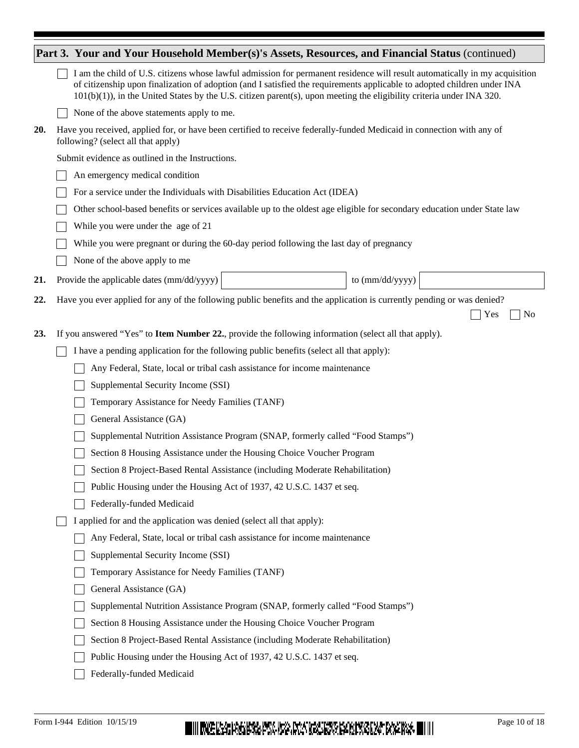|     |                                                                                                                                                                                                                                                                                                                                                                                  | Part 3. Your and Your Household Member(s)'s Assets, Resources, and Financial Status (continued)                         |  |  |  |
|-----|----------------------------------------------------------------------------------------------------------------------------------------------------------------------------------------------------------------------------------------------------------------------------------------------------------------------------------------------------------------------------------|-------------------------------------------------------------------------------------------------------------------------|--|--|--|
|     | I am the child of U.S. citizens whose lawful admission for permanent residence will result automatically in my acquisition<br>of citizenship upon finalization of adoption (and I satisfied the requirements applicable to adopted children under INA<br>$101(b)(1)$ ), in the United States by the U.S. citizen parent(s), upon meeting the eligibility criteria under INA 320. |                                                                                                                         |  |  |  |
|     |                                                                                                                                                                                                                                                                                                                                                                                  | None of the above statements apply to me.                                                                               |  |  |  |
| 20. | Have you received, applied for, or have been certified to receive federally-funded Medicaid in connection with any of<br>following? (select all that apply)                                                                                                                                                                                                                      |                                                                                                                         |  |  |  |
|     |                                                                                                                                                                                                                                                                                                                                                                                  | Submit evidence as outlined in the Instructions.                                                                        |  |  |  |
|     |                                                                                                                                                                                                                                                                                                                                                                                  | An emergency medical condition                                                                                          |  |  |  |
|     |                                                                                                                                                                                                                                                                                                                                                                                  | For a service under the Individuals with Disabilities Education Act (IDEA)                                              |  |  |  |
|     |                                                                                                                                                                                                                                                                                                                                                                                  | Other school-based benefits or services available up to the oldest age eligible for secondary education under State law |  |  |  |
|     |                                                                                                                                                                                                                                                                                                                                                                                  | While you were under the age of 21                                                                                      |  |  |  |
|     |                                                                                                                                                                                                                                                                                                                                                                                  | While you were pregnant or during the 60-day period following the last day of pregnancy                                 |  |  |  |
|     |                                                                                                                                                                                                                                                                                                                                                                                  | None of the above apply to me                                                                                           |  |  |  |
| 21. |                                                                                                                                                                                                                                                                                                                                                                                  | to (mm/dd/yyyy)<br>Provide the applicable dates (mm/dd/yyyy)                                                            |  |  |  |
| 22. |                                                                                                                                                                                                                                                                                                                                                                                  | Have you ever applied for any of the following public benefits and the application is currently pending or was denied?  |  |  |  |
|     |                                                                                                                                                                                                                                                                                                                                                                                  | Yes<br>No                                                                                                               |  |  |  |
| 23. |                                                                                                                                                                                                                                                                                                                                                                                  | If you answered "Yes" to <b>Item Number 22.</b> , provide the following information (select all that apply).            |  |  |  |
|     |                                                                                                                                                                                                                                                                                                                                                                                  | I have a pending application for the following public benefits (select all that apply):                                 |  |  |  |
|     |                                                                                                                                                                                                                                                                                                                                                                                  | Any Federal, State, local or tribal cash assistance for income maintenance                                              |  |  |  |
|     |                                                                                                                                                                                                                                                                                                                                                                                  | Supplemental Security Income (SSI)                                                                                      |  |  |  |
|     |                                                                                                                                                                                                                                                                                                                                                                                  | Temporary Assistance for Needy Families (TANF)                                                                          |  |  |  |
|     |                                                                                                                                                                                                                                                                                                                                                                                  | General Assistance (GA)                                                                                                 |  |  |  |
|     |                                                                                                                                                                                                                                                                                                                                                                                  | Supplemental Nutrition Assistance Program (SNAP, formerly called "Food Stamps")                                         |  |  |  |
|     |                                                                                                                                                                                                                                                                                                                                                                                  | Section 8 Housing Assistance under the Housing Choice Voucher Program                                                   |  |  |  |
|     |                                                                                                                                                                                                                                                                                                                                                                                  | Section 8 Project-Based Rental Assistance (including Moderate Rehabilitation)                                           |  |  |  |
|     |                                                                                                                                                                                                                                                                                                                                                                                  | Public Housing under the Housing Act of 1937, 42 U.S.C. 1437 et seq.                                                    |  |  |  |
|     |                                                                                                                                                                                                                                                                                                                                                                                  | Federally-funded Medicaid                                                                                               |  |  |  |
|     |                                                                                                                                                                                                                                                                                                                                                                                  | I applied for and the application was denied (select all that apply):                                                   |  |  |  |
|     |                                                                                                                                                                                                                                                                                                                                                                                  | Any Federal, State, local or tribal cash assistance for income maintenance                                              |  |  |  |
|     |                                                                                                                                                                                                                                                                                                                                                                                  | Supplemental Security Income (SSI)                                                                                      |  |  |  |
|     |                                                                                                                                                                                                                                                                                                                                                                                  | Temporary Assistance for Needy Families (TANF)                                                                          |  |  |  |
|     |                                                                                                                                                                                                                                                                                                                                                                                  | General Assistance (GA)                                                                                                 |  |  |  |
|     |                                                                                                                                                                                                                                                                                                                                                                                  | Supplemental Nutrition Assistance Program (SNAP, formerly called "Food Stamps")                                         |  |  |  |
|     |                                                                                                                                                                                                                                                                                                                                                                                  | Section 8 Housing Assistance under the Housing Choice Voucher Program                                                   |  |  |  |
|     |                                                                                                                                                                                                                                                                                                                                                                                  | Section 8 Project-Based Rental Assistance (including Moderate Rehabilitation)                                           |  |  |  |
|     |                                                                                                                                                                                                                                                                                                                                                                                  | Public Housing under the Housing Act of 1937, 42 U.S.C. 1437 et seq.                                                    |  |  |  |
|     |                                                                                                                                                                                                                                                                                                                                                                                  |                                                                                                                         |  |  |  |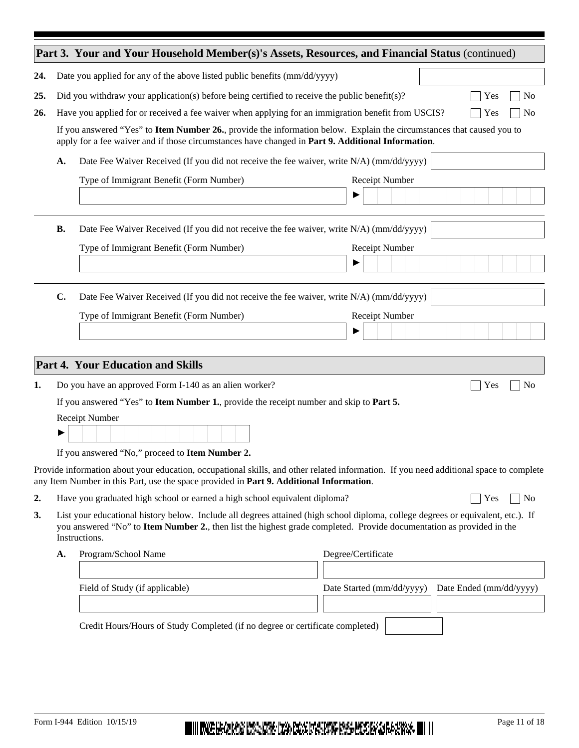|     | Part 3. Your and Your Household Member(s)'s Assets, Resources, and Financial Status (continued) |                                                                                                                                                                                                                                                                           |                           |                         |  |  |
|-----|-------------------------------------------------------------------------------------------------|---------------------------------------------------------------------------------------------------------------------------------------------------------------------------------------------------------------------------------------------------------------------------|---------------------------|-------------------------|--|--|
| 24. |                                                                                                 | Date you applied for any of the above listed public benefits (mm/dd/yyyy)                                                                                                                                                                                                 |                           |                         |  |  |
| 25. | Did you withdraw your application(s) before being certified to receive the public benefit(s)?   |                                                                                                                                                                                                                                                                           |                           | N <sub>0</sub><br>Yes   |  |  |
| 26. |                                                                                                 | Have you applied for or received a fee waiver when applying for an immigration benefit from USCIS?                                                                                                                                                                        |                           | Yes<br>N <sub>0</sub>   |  |  |
|     |                                                                                                 | If you answered "Yes" to Item Number 26., provide the information below. Explain the circumstances that caused you to<br>apply for a fee waiver and if those circumstances have changed in Part 9. Additional Information.                                                |                           |                         |  |  |
|     | А.                                                                                              | Date Fee Waiver Received (If you did not receive the fee waiver, write N/A) (mm/dd/yyyy)                                                                                                                                                                                  |                           |                         |  |  |
|     |                                                                                                 | Type of Immigrant Benefit (Form Number)                                                                                                                                                                                                                                   | Receipt Number            |                         |  |  |
|     |                                                                                                 |                                                                                                                                                                                                                                                                           |                           |                         |  |  |
|     | <b>B.</b>                                                                                       | Date Fee Waiver Received (If you did not receive the fee waiver, write N/A) (mm/dd/yyyy)                                                                                                                                                                                  |                           |                         |  |  |
|     |                                                                                                 | Type of Immigrant Benefit (Form Number)                                                                                                                                                                                                                                   | Receipt Number            |                         |  |  |
|     |                                                                                                 |                                                                                                                                                                                                                                                                           |                           |                         |  |  |
|     | C.                                                                                              | Date Fee Waiver Received (If you did not receive the fee waiver, write N/A) (mm/dd/yyyy)                                                                                                                                                                                  |                           |                         |  |  |
|     |                                                                                                 | Type of Immigrant Benefit (Form Number)                                                                                                                                                                                                                                   | Receipt Number            |                         |  |  |
|     |                                                                                                 |                                                                                                                                                                                                                                                                           |                           |                         |  |  |
|     |                                                                                                 | <b>Part 4. Your Education and Skills</b>                                                                                                                                                                                                                                  |                           |                         |  |  |
|     |                                                                                                 |                                                                                                                                                                                                                                                                           |                           |                         |  |  |
| 1.  |                                                                                                 | Do you have an approved Form I-140 as an alien worker?                                                                                                                                                                                                                    |                           | N <sub>o</sub><br>Yes   |  |  |
|     |                                                                                                 | If you answered "Yes" to <b>Item Number 1.</b> , provide the receipt number and skip to Part 5.<br>Receipt Number                                                                                                                                                         |                           |                         |  |  |
|     | ▶                                                                                               |                                                                                                                                                                                                                                                                           |                           |                         |  |  |
|     |                                                                                                 | If you answered "No," proceed to Item Number 2.                                                                                                                                                                                                                           |                           |                         |  |  |
|     |                                                                                                 | Provide information about your education, occupational skills, and other related information. If you need additional space to complete<br>any Item Number in this Part, use the space provided in Part 9. Additional Information.                                         |                           |                         |  |  |
| 2.  |                                                                                                 | Have you graduated high school or earned a high school equivalent diploma?                                                                                                                                                                                                |                           | Yes<br>No               |  |  |
| 3.  |                                                                                                 | List your educational history below. Include all degrees attained (high school diploma, college degrees or equivalent, etc.). If<br>you answered "No" to Item Number 2., then list the highest grade completed. Provide documentation as provided in the<br>Instructions. |                           |                         |  |  |
|     | A.                                                                                              | Program/School Name                                                                                                                                                                                                                                                       | Degree/Certificate        |                         |  |  |
|     |                                                                                                 |                                                                                                                                                                                                                                                                           |                           |                         |  |  |
|     |                                                                                                 | Field of Study (if applicable)                                                                                                                                                                                                                                            | Date Started (mm/dd/yyyy) | Date Ended (mm/dd/yyyy) |  |  |
|     |                                                                                                 |                                                                                                                                                                                                                                                                           |                           |                         |  |  |
|     |                                                                                                 | Credit Hours/Hours of Study Completed (if no degree or certificate completed)                                                                                                                                                                                             |                           |                         |  |  |
|     |                                                                                                 |                                                                                                                                                                                                                                                                           |                           |                         |  |  |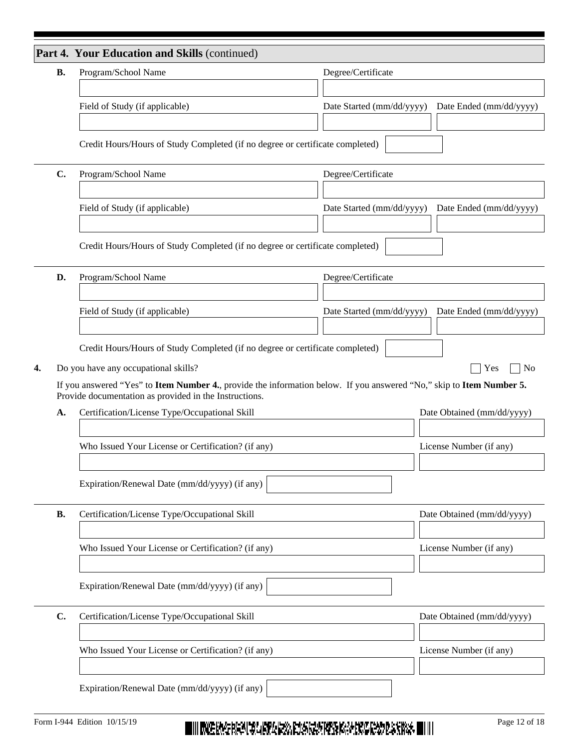|    |                                                               | Part 4. Your Education and Skills (continued)                                                                                                                                  |  |                           |                                                   |  |
|----|---------------------------------------------------------------|--------------------------------------------------------------------------------------------------------------------------------------------------------------------------------|--|---------------------------|---------------------------------------------------|--|
|    | <b>B.</b>                                                     | Program/School Name                                                                                                                                                            |  | Degree/Certificate        |                                                   |  |
|    |                                                               |                                                                                                                                                                                |  |                           |                                                   |  |
|    |                                                               | Field of Study (if applicable)                                                                                                                                                 |  |                           | Date Started (mm/dd/yyyy) Date Ended (mm/dd/yyyy) |  |
|    |                                                               |                                                                                                                                                                                |  |                           |                                                   |  |
|    |                                                               | Credit Hours/Hours of Study Completed (if no degree or certificate completed)                                                                                                  |  |                           |                                                   |  |
|    | C.                                                            | Program/School Name                                                                                                                                                            |  | Degree/Certificate        |                                                   |  |
|    |                                                               |                                                                                                                                                                                |  |                           |                                                   |  |
|    |                                                               | Field of Study (if applicable)                                                                                                                                                 |  | Date Started (mm/dd/yyyy) | Date Ended (mm/dd/yyyy)                           |  |
|    |                                                               |                                                                                                                                                                                |  |                           |                                                   |  |
|    |                                                               | Credit Hours/Hours of Study Completed (if no degree or certificate completed)                                                                                                  |  |                           |                                                   |  |
|    | D.                                                            | Program/School Name                                                                                                                                                            |  | Degree/Certificate        |                                                   |  |
|    |                                                               |                                                                                                                                                                                |  |                           |                                                   |  |
|    |                                                               | Field of Study (if applicable)                                                                                                                                                 |  | Date Started (mm/dd/yyyy) | Date Ended (mm/dd/yyyy)                           |  |
|    |                                                               |                                                                                                                                                                                |  |                           |                                                   |  |
|    |                                                               | Credit Hours/Hours of Study Completed (if no degree or certificate completed)                                                                                                  |  |                           |                                                   |  |
| 4. | Do you have any occupational skills?<br>Yes<br>N <sub>0</sub> |                                                                                                                                                                                |  |                           |                                                   |  |
|    |                                                               | If you answered "Yes" to Item Number 4., provide the information below. If you answered "No," skip to Item Number 5.<br>Provide documentation as provided in the Instructions. |  |                           |                                                   |  |
|    | A.                                                            | Certification/License Type/Occupational Skill                                                                                                                                  |  |                           | Date Obtained (mm/dd/yyyy)                        |  |
|    |                                                               |                                                                                                                                                                                |  |                           |                                                   |  |
|    |                                                               | Who Issued Your License or Certification? (if any)                                                                                                                             |  |                           | License Number (if any)                           |  |
|    |                                                               |                                                                                                                                                                                |  |                           |                                                   |  |
|    |                                                               | Expiration/Renewal Date (mm/dd/yyyy) (if any)                                                                                                                                  |  |                           |                                                   |  |
|    | <b>B.</b>                                                     | Certification/License Type/Occupational Skill                                                                                                                                  |  |                           | Date Obtained (mm/dd/yyyy)                        |  |
|    |                                                               |                                                                                                                                                                                |  |                           |                                                   |  |
|    |                                                               | Who Issued Your License or Certification? (if any)                                                                                                                             |  |                           | License Number (if any)                           |  |
|    |                                                               |                                                                                                                                                                                |  |                           |                                                   |  |
|    |                                                               | Expiration/Renewal Date (mm/dd/yyyy) (if any)                                                                                                                                  |  |                           |                                                   |  |
|    | C.                                                            | Certification/License Type/Occupational Skill                                                                                                                                  |  |                           | Date Obtained (mm/dd/yyyy)                        |  |
|    |                                                               |                                                                                                                                                                                |  |                           |                                                   |  |
|    |                                                               | Who Issued Your License or Certification? (if any)                                                                                                                             |  |                           | License Number (if any)                           |  |
|    |                                                               |                                                                                                                                                                                |  |                           |                                                   |  |
|    |                                                               | Expiration/Renewal Date (mm/dd/yyyy) (if any)                                                                                                                                  |  |                           |                                                   |  |
|    |                                                               |                                                                                                                                                                                |  |                           |                                                   |  |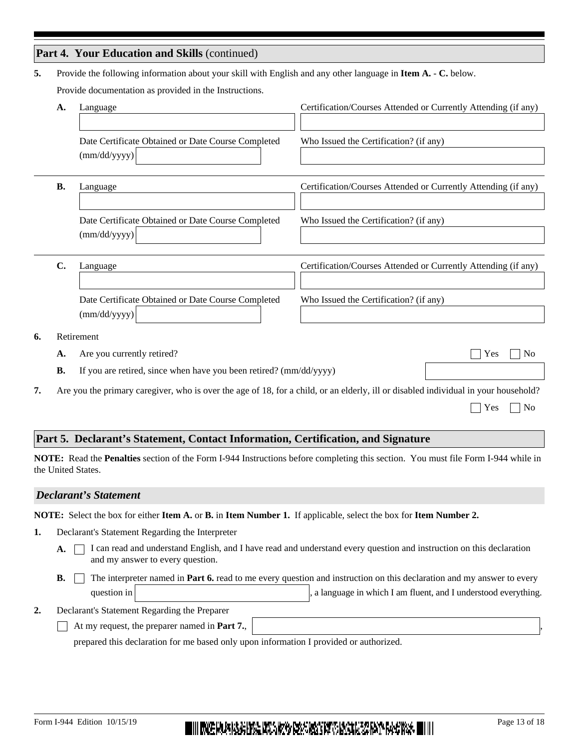# Part 4. Your Education and Skills (continued)

**5.** Provide the following information about your skill with English and any other language in **Item A.** - **C.** below.

Provide documentation as provided in the Instructions.

|    | A.        | Language                                                                         | Certification/Courses Attended or Currently Attending (if any)                                                                      |
|----|-----------|----------------------------------------------------------------------------------|-------------------------------------------------------------------------------------------------------------------------------------|
|    |           |                                                                                  |                                                                                                                                     |
|    |           | Date Certificate Obtained or Date Course Completed                               | Who Issued the Certification? (if any)                                                                                              |
|    |           | (mm/dd/yyyy)                                                                     |                                                                                                                                     |
|    |           |                                                                                  |                                                                                                                                     |
|    | <b>B.</b> | Language                                                                         | Certification/Courses Attended or Currently Attending (if any)                                                                      |
|    |           |                                                                                  |                                                                                                                                     |
|    |           | Date Certificate Obtained or Date Course Completed                               | Who Issued the Certification? (if any)                                                                                              |
|    |           | (mm/dd/yyyy)                                                                     |                                                                                                                                     |
|    | C.        | Language                                                                         | Certification/Courses Attended or Currently Attending (if any)                                                                      |
|    |           |                                                                                  |                                                                                                                                     |
|    |           | Date Certificate Obtained or Date Course Completed                               | Who Issued the Certification? (if any)                                                                                              |
|    |           | (mm/dd/yyyy)                                                                     |                                                                                                                                     |
| 6. |           | Retirement                                                                       |                                                                                                                                     |
|    | А.        | Are you currently retired?                                                       | Yes<br>N <sub>0</sub>                                                                                                               |
|    | <b>B.</b> | If you are retired, since when have you been retired? (mm/dd/yyyy)               |                                                                                                                                     |
| 7. |           |                                                                                  | Are you the primary caregiver, who is over the age of 18, for a child, or an elderly, ill or disabled individual in your household? |
|    |           |                                                                                  | Yes<br>No                                                                                                                           |
|    |           |                                                                                  |                                                                                                                                     |
|    |           | Part 5. Declarant's Statement, Contact Information, Certification, and Signature |                                                                                                                                     |
|    |           |                                                                                  | NOTE: Read the Penalties section of the Form I-944 Instructions before completing this section. You must file Form I-944 while in   |
|    |           | the United States.                                                               |                                                                                                                                     |

#### *Declarant's Statement*

**6.** Retirement

**NOTE:** Select the box for either **Item A.** or **B.** in **Item Number 1.** If applicable, select the box for **Item Number 2.**

- **1.** Declarant's Statement Regarding the Interpreter
	- I can read and understand English, and I have read and understand every question and instruction on this declaration and my answer to every question. **A.**
	- **B.** The interpreter named in **Part 6.** read to me every question and instruction on this declaration and my answer to every  $\mathcal{L}$ question in a language in which I am fluent, and I understood everything.

Declarant's Statement Regarding the Preparer **2.**

At my request, the preparer named in **Part 7.**,

prepared this declaration for me based only upon information I provided or authorized.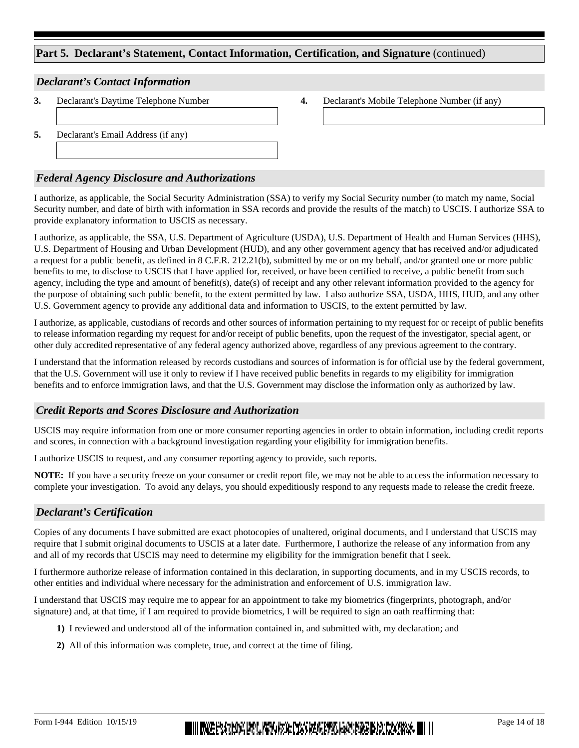### **Part 5. Declarant's Statement, Contact Information, Certification, and Signature** (continued)

#### *Declarant's Contact Information*

- 
- **3.** Declarant's Daytime Telephone Number **4.** Declarant's Mobile Telephone Number (if any)
- **5.** Declarant's Email Address (if any)

#### *Federal Agency Disclosure and Authorizations*

I authorize, as applicable, the Social Security Administration (SSA) to verify my Social Security number (to match my name, Social Security number, and date of birth with information in SSA records and provide the results of the match) to USCIS. I authorize SSA to provide explanatory information to USCIS as necessary.

I authorize, as applicable, the SSA, U.S. Department of Agriculture (USDA), U.S. Department of Health and Human Services (HHS), U.S. Department of Housing and Urban Development (HUD), and any other government agency that has received and/or adjudicated a request for a public benefit, as defined in 8 C.F.R. 212.21(b), submitted by me or on my behalf, and/or granted one or more public benefits to me, to disclose to USCIS that I have applied for, received, or have been certified to receive, a public benefit from such agency, including the type and amount of benefit(s), date(s) of receipt and any other relevant information provided to the agency for the purpose of obtaining such public benefit, to the extent permitted by law. I also authorize SSA, USDA, HHS, HUD, and any other U.S. Government agency to provide any additional data and information to USCIS, to the extent permitted by law.

I authorize, as applicable, custodians of records and other sources of information pertaining to my request for or receipt of public benefits to release information regarding my request for and/or receipt of public benefits, upon the request of the investigator, special agent, or other duly accredited representative of any federal agency authorized above, regardless of any previous agreement to the contrary.

I understand that the information released by records custodians and sources of information is for official use by the federal government, that the U.S. Government will use it only to review if I have received public benefits in regards to my eligibility for immigration benefits and to enforce immigration laws, and that the U.S. Government may disclose the information only as authorized by law.

#### *Credit Reports and Scores Disclosure and Authorization*

USCIS may require information from one or more consumer reporting agencies in order to obtain information, including credit reports and scores, in connection with a background investigation regarding your eligibility for immigration benefits.

I authorize USCIS to request, and any consumer reporting agency to provide, such reports.

**NOTE:** If you have a security freeze on your consumer or credit report file, we may not be able to access the information necessary to complete your investigation. To avoid any delays, you should expeditiously respond to any requests made to release the credit freeze.

#### *Declarant's Certification*

Copies of any documents I have submitted are exact photocopies of unaltered, original documents, and I understand that USCIS may require that I submit original documents to USCIS at a later date. Furthermore, I authorize the release of any information from any and all of my records that USCIS may need to determine my eligibility for the immigration benefit that I seek.

I furthermore authorize release of information contained in this declaration, in supporting documents, and in my USCIS records, to other entities and individual where necessary for the administration and enforcement of U.S. immigration law.

I understand that USCIS may require me to appear for an appointment to take my biometrics (fingerprints, photograph, and/or signature) and, at that time, if I am required to provide biometrics, I will be required to sign an oath reaffirming that:

- **1)** I reviewed and understood all of the information contained in, and submitted with, my declaration; and
- **2)** All of this information was complete, true, and correct at the time of filing.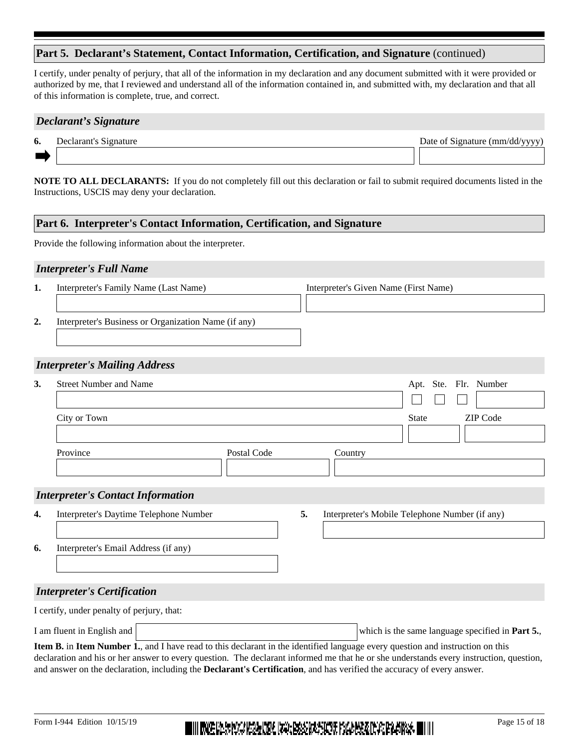#### **Part 5. Declarant's Statement, Contact Information, Certification, and Signature** (continued)

I certify, under penalty of perjury, that all of the information in my declaration and any document submitted with it were provided or authorized by me, that I reviewed and understand all of the information contained in, and submitted with, my declaration and that all of this information is complete, true, and correct.

#### *Declarant's Signature*

| 6. | Jaclarant | Date of Signature (mm/dd/ |
|----|-----------|---------------------------|
|    |           |                           |

**NOTE TO ALL DECLARANTS:** If you do not completely fill out this declaration or fail to submit required documents listed in the Instructions, USCIS may deny your declaration.

#### **Part 6. Interpreter's Contact Information, Certification, and Signature**

Provide the following information about the interpreter.

#### *Interpreter's Full Name*

| ı. | Interpreter's Family Name (Last Name)                | Interpreter's Given Name (First Name) |
|----|------------------------------------------------------|---------------------------------------|
|    |                                                      |                                       |
| 2. | Interpreter's Business or Organization Name (if any) |                                       |
|    |                                                      |                                       |

#### *Interpreter's Mailing Address*

**3.** Street Number and Name Apt. Steet Number and Name Apt. Steet Aumber and Name Apt. Steet Aumber and Name Apt. Steet Aumber and Name Apt. Steet Aumber and Name Apt. Steet Aumber and Name Apt. Steet Aumber and Name Appli

| City or Town |             |         | State | ZIP Code |
|--------------|-------------|---------|-------|----------|
|              |             |         |       |          |
| Province     | Postal Code | Country |       |          |
|              |             |         |       |          |

#### *Interpreter's Contact Information*

- **4.** Interpreter's Daytime Telephone Number **5.** Interpreter's Mobile Telephone Number (if any) **6.** Interpreter's Email Address (if any)
	-

#### *Interpreter's Certification*

| I certify, under penalty of perjury, that: |                                                        |
|--------------------------------------------|--------------------------------------------------------|
| I am fluent in English and                 | which is the same language specified in <b>Part 5.</b> |
| _____<br>.                                 |                                                        |

**Item B.** in **Item Number 1.**, and I have read to this declarant in the identified language every question and instruction on this declaration and his or her answer to every question. The declarant informed me that he or she understands every instruction, question, and answer on the declaration, including the **Declarant's Certification**, and has verified the accuracy of every answer.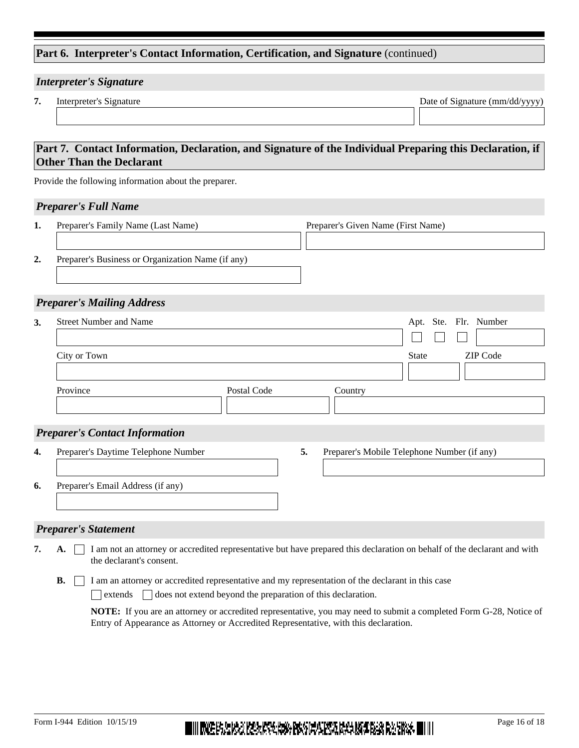### Part 6. Interpreter's Contact Information, Certification, and Signature (continued)

#### *Interpreter's Signature*

**7.** Interpreter's Signature **Date of Signature (mm/dd/yyyy)** 

#### **Part 7. Contact Information, Declaration, and Signature of the Individual Preparing this Declaration, if Other Than the Declarant**

Provide the following information about the preparer.

#### *Preparer's Full Name*

| 1.               | Preparer's Family Name (Last Name)                | Preparer's Given Name (First Name) |  |  |
|------------------|---------------------------------------------------|------------------------------------|--|--|
|                  |                                                   |                                    |  |  |
| $\overline{2}$ . | Preparer's Business or Organization Name (if any) |                                    |  |  |
|                  |                                                   |                                    |  |  |

#### *Preparer's Mailing Address*

| <b>Street Number and Name</b> | Apt. Ste. Flr. Number |         |                   |
|-------------------------------|-----------------------|---------|-------------------|
|                               |                       |         |                   |
| City or Town                  |                       |         | ZIP Code<br>State |
|                               |                       |         |                   |
| Province                      | Postal Code           | Country |                   |
|                               |                       |         |                   |

#### *Preparer's Contact Information*

| 4. | Preparer's Daytime Telephone Number | 5. | Preparer's Mobile Telephone Number (if any) |
|----|-------------------------------------|----|---------------------------------------------|
|    |                                     |    |                                             |
| 6. | Preparer's Email Address (if any)   |    |                                             |
|    |                                     |    |                                             |

#### *Preparer's Statement*

- **7. A.** I am not an attorney or accredited representative but have prepared this declaration on behalf of the declarant and with the declarant's consent.
	- **B.**  $\Box$  I am an attorney or accredited representative and my representation of the declarant in this case

 $\Box$  extends  $\Box$  does not extend beyond the preparation of this declaration.

**NOTE:** If you are an attorney or accredited representative, you may need to submit a completed Form G-28, Notice of Entry of Appearance as Attorney or Accredited Representative, with this declaration.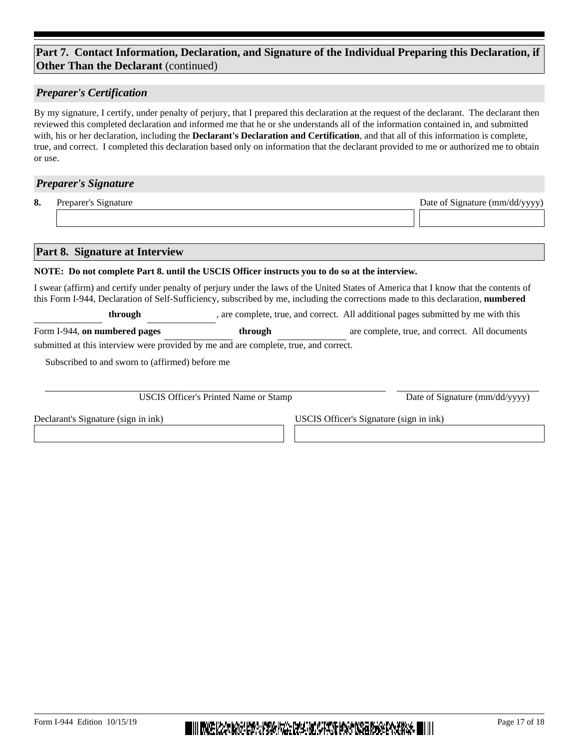# **Part 7. Contact Information, Declaration, and Signature of the Individual Preparing this Declaration, if Other Than the Declarant (continued)**

# *Preparer's Certification*

By my signature, I certify, under penalty of perjury, that I prepared this declaration at the request of the declarant. The declarant then reviewed this completed declaration and informed me that he or she understands all of the information contained in, and submitted with, his or her declaration, including the **Declarant's Declaration and Certification**, and that all of this information is complete, true, and correct. I completed this declaration based only on information that the declarant provided to me or authorized me to obtain or use.

#### *Preparer's Signature*

**8.** Preparer's Signature **1988** Date of Signature (mm/dd/yyyy)

#### **Part 8. Signature at Interview**

#### **NOTE: Do not complete Part 8. until the USCIS Officer instructs you to do so at the interview.**

I swear (affirm) and certify under penalty of perjury under the laws of the United States of America that I know that the contents of this Form I-944, Declaration of Self-Sufficiency, subscribed by me, including the corrections made to this declaration, **numbered**

**through** , are complete, true, and correct. All additional pages submitted by me with this

Form I-944, **on** numbered pages **through** are complete, true, and correct. All documents

submitted at this interview were provided by me and are complete, true, and correct.

Subscribed to and sworn to (affirmed) before me

USCIS Officer's Printed Name or Stamp Date of Signature (mm/dd/yyyy)

Declarant's Signature (sign in ink) USCIS Officer's Signature (sign in ink)